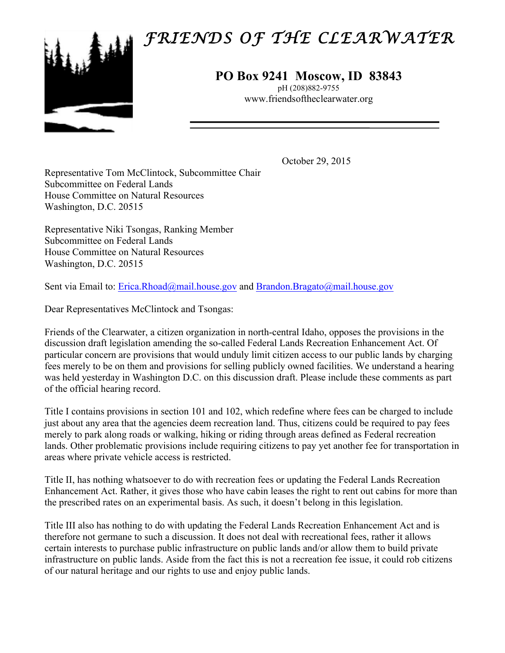## *FRIENDS OF THE CLEARWATER*



## **PO Box 9241 Moscow, ID 83843**

pH (208)882-9755 www.friendsoftheclearwater.org

October 29, 2015

Representative Tom McClintock, Subcommittee Chair Subcommittee on Federal Lands House Committee on Natural Resources Washington, D.C. 20515

Representative Niki Tsongas, Ranking Member Subcommittee on Federal Lands House Committee on Natural Resources Washington, D.C. 20515

Sent via Email to: Erica.Rhoad@mail.house.gov and Brandon.Bragato@mail.house.gov

Dear Representatives McClintock and Tsongas:

Friends of the Clearwater, a citizen organization in north-central Idaho, opposes the provisions in the discussion draft legislation amending the so-called Federal Lands Recreation Enhancement Act. Of particular concern are provisions that would unduly limit citizen access to our public lands by charging fees merely to be on them and provisions for selling publicly owned facilities. We understand a hearing was held yesterday in Washington D.C. on this discussion draft. Please include these comments as part of the official hearing record.

Title I contains provisions in section 101 and 102, which redefine where fees can be charged to include just about any area that the agencies deem recreation land. Thus, citizens could be required to pay fees merely to park along roads or walking, hiking or riding through areas defined as Federal recreation lands. Other problematic provisions include requiring citizens to pay yet another fee for transportation in areas where private vehicle access is restricted.

Title II, has nothing whatsoever to do with recreation fees or updating the Federal Lands Recreation Enhancement Act. Rather, it gives those who have cabin leases the right to rent out cabins for more than the prescribed rates on an experimental basis. As such, it doesn't belong in this legislation.

Title III also has nothing to do with updating the Federal Lands Recreation Enhancement Act and is therefore not germane to such a discussion. It does not deal with recreational fees, rather it allows certain interests to purchase public infrastructure on public lands and/or allow them to build private infrastructure on public lands. Aside from the fact this is not a recreation fee issue, it could rob citizens of our natural heritage and our rights to use and enjoy public lands.